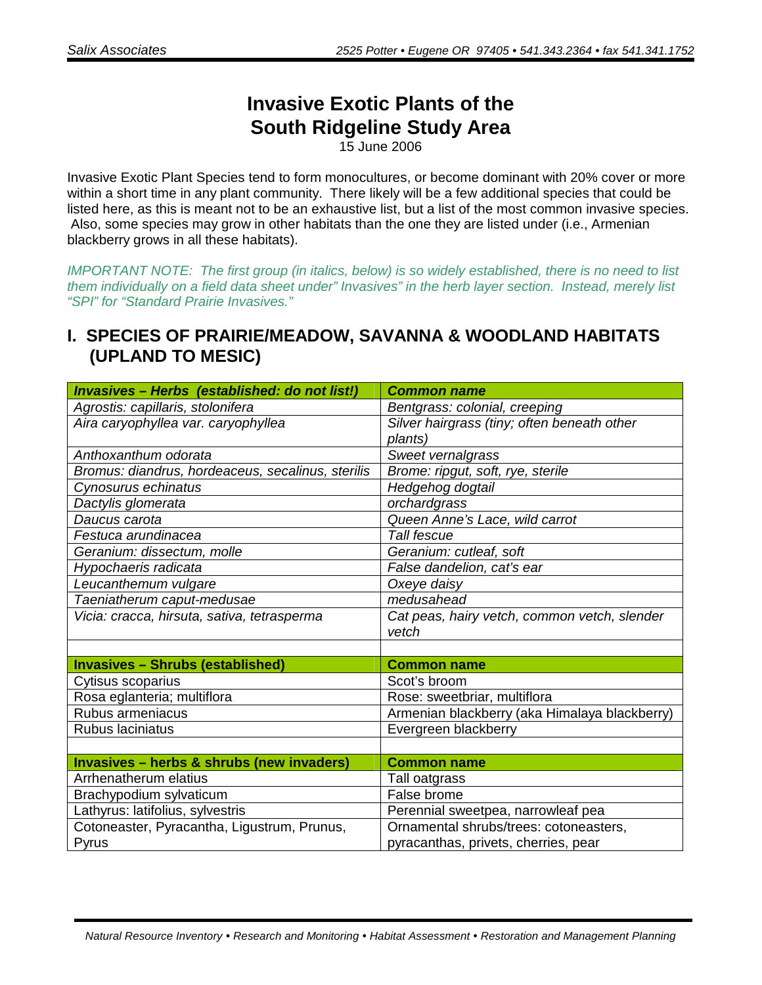## **Invasive Exotic Plants of the South Ridgeline Study Area**

15 June 2006

Invasive Exotic Plant Species tend to form monocultures, or become dominant with 20% cover or more within a short time in any plant community. There likely will be a few additional species that could be listed here, as this is meant not to be an exhaustive list, but a list of the most common invasive species. Also, some species may grow in other habitats than the one they are listed under (i.e., Armenian blackberry grows in all these habitats).

IMPORTANT NOTE: The first group (in italics, below) is so widely established, there is no need to list them individually on a field data sheet under" Invasives" in the herb layer section. Instead, merely list "SPI" for "Standard Prairie Invasives."

## **I. SPECIES OF PRAIRIE/MEADOW, SAVANNA & WOODLAND HABITATS (UPLAND TO MESIC)**

| Invasives - Herbs (established: do not list!)        | <b>Common name</b>                                    |
|------------------------------------------------------|-------------------------------------------------------|
| Agrostis: capillaris, stolonifera                    | Bentgrass: colonial, creeping                         |
| Aira caryophyllea var. caryophyllea                  | Silver hairgrass (tiny; often beneath other           |
|                                                      | plants)                                               |
| Anthoxanthum odorata                                 | Sweet vernalgrass                                     |
| Bromus: diandrus, hordeaceus, secalinus, sterilis    | Brome: ripgut, soft, rye, sterile                     |
| Cynosurus echinatus                                  | Hedgehog dogtail                                      |
| Dactylis glomerata                                   | orchardgrass                                          |
| Daucus carota                                        | Queen Anne's Lace, wild carrot                        |
| Festuca arundinacea                                  | Tall fescue                                           |
| Geranium: dissectum, molle                           | Geranium: cutleaf, soft                               |
| Hypochaeris radicata                                 | False dandelion, cat's ear                            |
| Leucanthemum vulgare                                 | Oxeye daisy                                           |
| Taeniatherum caput-medusae                           | medusahead                                            |
| Vicia: cracca, hirsuta, sativa, tetrasperma          | Cat peas, hairy vetch, common vetch, slender<br>vetch |
|                                                      |                                                       |
| <b>Invasives - Shrubs (established)</b>              | <b>Common name</b>                                    |
| Cytisus scoparius                                    | Scot's broom                                          |
| Rosa eglanteria; multiflora                          | Rose: sweetbriar, multiflora                          |
| Rubus armeniacus                                     | Armenian blackberry (aka Himalaya blackberry)         |
| Rubus laciniatus                                     | Evergreen blackberry                                  |
|                                                      |                                                       |
| <b>Invasives - herbs &amp; shrubs (new invaders)</b> | <b>Common name</b>                                    |
| Arrhenatherum elatius                                | Tall oatgrass                                         |
| Brachypodium sylvaticum                              | False brome                                           |
| Lathyrus: latifolius, sylvestris                     | Perennial sweetpea, narrowleaf pea                    |
| Cotoneaster, Pyracantha, Ligustrum, Prunus,          | Ornamental shrubs/trees: cotoneasters,                |
| Pyrus                                                | pyracanthas, privets, cherries, pear                  |